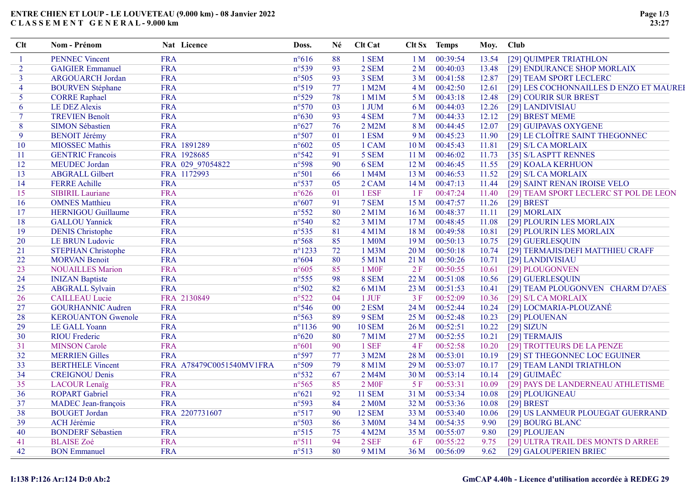### ENTRE CHIEN ET LOUP - LE LOUVETEAU (9.000 km) - 08 Janvier 2022 C L A S S E M E N T G E N E R A L - 9.000 km

| Clt            | Nom - Prénom               | Nat Licence              | Doss.            | Né     | Clt Cat           |                 | Clt Sx Temps | Moy.  | Club                                    |
|----------------|----------------------------|--------------------------|------------------|--------|-------------------|-----------------|--------------|-------|-----------------------------------------|
|                | <b>PENNEC Vincent</b>      | <b>FRA</b>               | $n^{\circ}616$   | 88     | 1 SEM             | 1 M             | 00:39:54     | 13.54 | [29] QUIMPER TRIATHLON                  |
| $\overline{2}$ | <b>GAIGIER Emmanuel</b>    | <b>FRA</b>               | $n^{\circ}539$   | 93     | 2 SEM             | 2M              | 00:40:03     | 13.48 | [29] ENDURANCE SHOP MORLAIX             |
| $\overline{3}$ | <b>ARGOUARCH Jordan</b>    | <b>FRA</b>               | $n^{\circ}505$   | 93     | 3 SEM             | 3 <sub>M</sub>  | 00:41:58     | 12.87 | [29] TEAM SPORT LECLERC                 |
| $\overline{4}$ | <b>BOURVEN Stéphane</b>    | <b>FRA</b>               | n°519            | 77     | 1 M2M             | 4 M             | 00:42:50     | 12.61 | [29] LES COCHONNAILLES D ENZO ET MAUREE |
| 5              | <b>CORRE Raphael</b>       | <b>FRA</b>               | $n^{\circ}529$   | 78     | $1$ M $1$ M       | 5 M             | 00:43:18     | 12.48 | [29] COURIR SUR BREST                   |
| 6              | <b>LE DEZ Alexis</b>       | <b>FRA</b>               | $n^{\circ}570$   | 03     | 1 JUM             | 6 M             | 00:44:03     | 12.26 | [29] LANDIVISIAU                        |
| $\tau$         | <b>TREVIEN Benoît</b>      | <b>FRA</b>               | $n^{\circ}630$   | 93     | 4 SEM             | 7 M             | 00:44:33     | 12.12 | [29] BREST MEME                         |
| 8              | <b>SIMON Sébastien</b>     | <b>FRA</b>               | $n^{\circ}627$   | 76     | 2 M2M             | 8 M             | 00:44:45     | 12.07 | [29] GUIPAVAS OXYGENE                   |
| 9              | <b>BENOIT Jérémy</b>       | <b>FRA</b>               | n°507            | 01     | 1 ESM             | 9 M             | 00:45:23     | 11.90 | [29] LE CLOÎTRE SAINT THEGONNEC         |
| 10             | MIOSSEC Mathis             | FRA 1891289              | $n^{\circ}602$   | 05     | 1 CAM             | 10 <sub>M</sub> | 00:45:43     | 11.81 | [29] S/L CA MORLAIX                     |
| 11             | <b>GENTRIC Francois</b>    | FRA 1928685              | $n^{\circ}542$   | 91     | 5 SEM             | 11 <sub>M</sub> | 00:46:02     | 11.73 | [35] S/L ASPTT RENNES                   |
| 12             | MEUDEC Jordan              | FRA 029 97054822         | n°598            | 90     | 6 SEM             | 12 <sub>M</sub> | 00:46:45     | 11.55 | [29] KOALA KERHUON                      |
| 13             | <b>ABGRALL Gilbert</b>     | FRA 1172993              | $n^{\circ}501$   | 66     | 1 M4M             | 13 M            | 00:46:53     | 11.52 | [29] S/L CA MORLAIX                     |
| 14             | <b>FERRE Achille</b>       | <b>FRA</b>               | $n^{\circ}537$   | 05     | 2 CAM             | 14M             | 00:47:13     | 11.44 | [29] SAINT RENAN IROISE VELO            |
| 15             | <b>SIBIRIL Lauriane</b>    | <b>FRA</b>               | $n^{\circ}626$   | 01     | 1 ESF             | 1F              | 00:47:24     | 11.40 | [29] TEAM SPORT LECLERC ST POL DE LEON  |
| 16             | <b>OMNES</b> Matthieu      | <b>FRA</b>               | $n^{\circ}607$   | 91     | 7 SEM             | 15 M            | 00:47:57     | 11.26 | $[29]$ BREST                            |
| 17             | <b>HERNIGOU Guillaume</b>  | <b>FRA</b>               | $n^{\circ}552$   | 80     | $2$ M $1$ M       | 16 M            | 00:48:37     | 11.11 | [29] MORLAIX                            |
| 18             | <b>GALLOU</b> Yannick      | <b>FRA</b>               | n°540            | 82     | 3 M1M             | 17 <sub>M</sub> | 00:48:45     | 11.08 | [29] PLOURIN LES MORLAIX                |
| 19             | <b>DENIS</b> Christophe    | <b>FRA</b>               | $n^{\circ}535$   | 81     | 4 M1M             | 18 M            | 00:49:58     | 10.81 | [29] PLOURIN LES MORLAIX                |
| 20             | <b>LE BRUN Ludovic</b>     | <b>FRA</b>               | n°568            | 85     | 1 M0M             | 19 <sub>M</sub> | 00:50:13     | 10.75 | [29] GUERLESQUIN                        |
| 21             | <b>STEPHAN Christophe</b>  | <b>FRA</b>               | $n^{\circ}$ 1233 | 72     | $1$ M $3M$        | 20 <sub>M</sub> | 00:50:18     | 10.74 | [29] TERMAJIS/DEFI MATTHIEU CRAFF       |
| 22             | <b>MORVAN Benoit</b>       | <b>FRA</b>               | $n^{\circ}604$   | 80     | 5 M1M             | 21 M            | 00:50:26     | 10.71 | [29] LANDIVISIAU                        |
| 23             | <b>NOUAILLES Marion</b>    | <b>FRA</b>               | $n^{\circ}605$   | 85     | 1 M <sub>OF</sub> | 2F              | 00:50:55     | 10.61 | [29] PLOUGONVEN                         |
| 24             | <b>INIZAN</b> Baptiste     | <b>FRA</b>               | $n^{\circ}$ 555  | 98     | 8 SEM             | 22 M            | 00:51:08     | 10.56 | [29] GUERLESQUIN                        |
| 25             | <b>ABGRALL Sylvain</b>     | <b>FRA</b>               | $n^{\circ}502$   | 82     | 6 M1M             | 23 M            | 00:51:53     | 10.41 | [29] TEAM PLOUGONVEN CHARM D?AES        |
| 26             | <b>CAILLEAU Lucie</b>      | FRA 2130849              | $n^{\circ}522$   | 04     | 1 JUF             | 3F              | 00:52:09     | 10.36 | [29] S/L CA MORLAIX                     |
| 27             | <b>GOURHANNIC Audren</b>   | <b>FRA</b>               | $n^{\circ}546$   | $00\,$ | 2 ESM             | 24 M            | 00:52:44     | 10.24 | [29] LOCMARIA-PLOUZANÉ                  |
| 28             | <b>KEROUANTON Gwenole</b>  | <b>FRA</b>               | $n^{\circ}563$   | 89     | 9 SEM             | 25 M            | 00:52:48     | 10.23 | [29] PLOUENAN                           |
| 29             | LE GALL Yoann              | <b>FRA</b>               | $n^{\circ}1136$  | 90     | <b>10 SEM</b>     | 26 M            | 00:52:51     | 10.22 | $[29]$ SIZUN                            |
| 30             | <b>RIOU</b> Frederic       | <b>FRA</b>               | $n^{\circ}620$   | 80     | 7 M1M             | 27 M            | 00:52:55     | 10.21 | [29] TERMAJIS                           |
| 31             | <b>MINSON Carole</b>       | <b>FRA</b>               | $n^{\circ}601$   | 90     | 1 SEF             | 4F              | 00:52:58     | 10.20 | [29] TROTTEURS DE LA PENZE              |
| 32             | <b>MERRIEN Gilles</b>      | FRA                      | $n^{\circ}597$   | 77     | 3 M2M             | 28 M            | 00:53:01     | 10.19 | [29] ST THEGONNEC LOC EGUINER           |
| 33             | <b>BERTHELE Vincent</b>    | FRA A78479C0051540MV1FRA | n°509            | 79     | 8 M1M             | 29 M            | 00:53:07     | 10.17 | [29] TEAM LANDI TRIATHLON               |
| 34             | <b>CREIGNOU Denis</b>      | <b>FRA</b>               | $n^{\circ}532$   | 67     | 2 M4M             | 30 M            | 00:53:14     | 10.14 | [29] GUIMAËC                            |
| 35             | <b>LACOUR Lenaïg</b>       | <b>FRA</b>               | $n^{\circ}$ 565  | 85     | 2 M0F             | 5F              | 00:53:31     | 10.09 | [29] PAYS DE LANDERNEAU ATHLETISME      |
| 36             | <b>ROPART Gabriel</b>      | <b>FRA</b>               | $n^{\circ}621$   | 92     | <b>11 SEM</b>     | 31 M            | 00:53:34     | 10.08 | [29] PLOUIGNEAU                         |
| 37             | <b>MADEC</b> Jean-françois | <b>FRA</b>               | n°593            | 84     | 2 M0M             | 32 M            | 00:53:36     | 10.08 | $[29]$ BREST                            |
| 38             | <b>BOUGET</b> Jordan       | FRA 2207731607           | $n^{\circ}517$   | 90     | <b>12 SEM</b>     | 33 M            | 00:53:40     | 10.06 | [29] US LANMEUR PLOUEGAT GUERRAND       |
| 39             | <b>ACH Jérémie</b>         | <b>FRA</b>               | $n^{\circ}503$   | 86     | 3 M0M             | 34 M            | 00:54:35     | 9.90  | [29] BOURG BLANC                        |
| 40             | <b>BONDERF Sébastien</b>   | <b>FRA</b>               | $n^{\circ}515$   | 75     | 4 M2M             | 35 M            | 00:55:07     | 9.80  | [29] PLOUJEAN                           |
| 41             | <b>BLAISE</b> Zoé          | <b>FRA</b>               | $n^{\circ}511$   | 94     | $2$ SEF           | 6 F             | 00:55:22     | 9.75  | [29] ULTRA TRAIL DES MONTS D ARREE      |
| 42             | <b>BON</b> Emmanuel        | <b>FRA</b>               | n°513            | 80     | 9 M1M             | 36 M            | 00:56:09     | 9.62  | [29] GALOUPERIEN BRIEC                  |
|                |                            |                          |                  |        |                   |                 |              |       |                                         |

# I:138 P:126 Ar:124 D:0 Ab:2 GmCAP 4.40h - Licence d'utilisation accordée à REDEG 29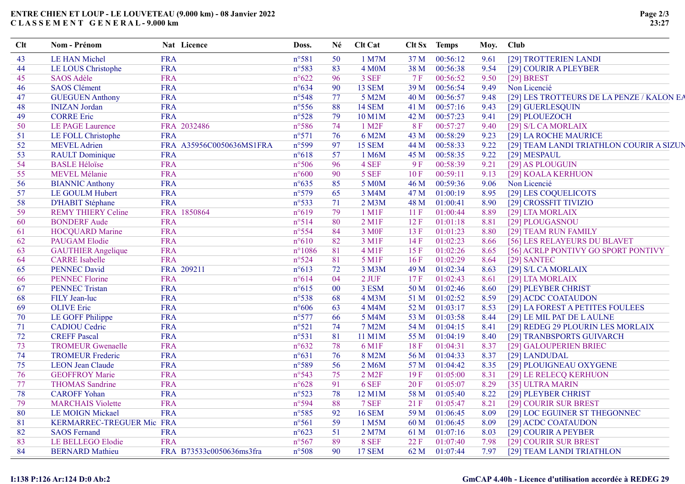### ENTRE CHIEN ET LOUP - LE LOUVETEAU (9.000 km) - 08 Janvier 2022 C L A S S E M E N T G E N E R A L - 9.000 km

| <b>FRA</b><br>$n^{\circ}581$<br>1 M7M<br>37 M<br>00:56:12<br>43<br><b>LE HAN Michel</b><br>50<br>9.61<br>[29] TROTTERIEN LANDI<br><b>FRA</b><br>83<br>LE LOUS Christophe<br>n°583<br>4 M <sub>0</sub> M<br>38 M<br>00:56:38<br>9.54<br>44<br>[29] COURIR A PLEYBER<br><b>FRA</b><br>96<br>00:56:52<br><b>SAOS Adèle</b><br>$n^{\circ}622$<br>3 SEF<br>7F<br>9.50<br>$[29]$ BREST<br>45<br><b>SAOS</b> Clément<br><b>FRA</b><br>39 M<br>00:56:54<br>Non Licencié<br>$n^{\circ}634$<br>90<br>13 SEM<br>9.49<br>46<br><b>FRA</b><br><b>GUEGUEN Anthony</b><br>n°548<br>77<br>00:56:57<br>5 M2M<br>40 M<br>9.48<br>47<br><b>INIZAN</b> Jordan<br><b>FRA</b><br>$n^{\circ}$ 556<br>88<br><b>14 SEM</b><br>00:57:16<br>41 M<br>9.43<br>[29] GUERLESQUIN<br>48<br><b>CORRE Eric</b><br><b>FRA</b><br>$n^{\circ}528$<br>79<br>10 M1M<br>00:57:23<br>9.41<br>[29] PLOUEZOCH<br>49<br>42 M<br>FRA 2032486<br>$n^{\circ}586$<br>74<br>1 M <sub>2F</sub><br>00:57:27<br>50<br>LE PAGE Laurence<br>8F<br>9.40<br>[29] S/L CA MORLAIX<br><b>FRA</b><br>$n^{\circ}571$<br>76<br>6 M2M<br>00:58:29<br>LE FOLL Christophe<br>43 M<br>9.23<br>[29] LA ROCHE MAURICE<br>51<br><b>MEVEL</b> Adrien<br>n°599<br><b>15 SEM</b><br>00:58:33<br>52<br>FRA A35956C0050636MS1FRA<br>97<br>44 M<br>9.22<br><b>RAULT</b> Dominique<br><b>FRA</b><br>00:58:35<br>$n^{\circ}618$<br>57<br>1 M6M<br>45 M<br>9.22<br>[29] MESPAUL<br>53<br><b>BASLE Héloïse</b><br><b>FRA</b><br>n°506<br>96<br>4 SEF<br>00:58:39<br>9F<br>9.21<br>[29] AS PLOUGUIN<br>-54<br>MEVEL Mélanie<br><b>FRA</b><br>90<br>5 SEF<br>00:59:11<br>$n^{\circ}600$<br>10F<br>9.13<br>[29] KOALA KERHUON<br>55<br><b>FRA</b><br>85<br><b>BIANNIC Anthony</b><br>$n^{\circ}635$<br>5 M0M<br>00:59:36<br>Non Licencié<br>56<br>46 M<br>9.06<br>LE GOULM Hubert<br><b>FRA</b><br>n°579<br>65<br>3 M4M<br>47 M<br>01:00:19<br>8.95<br>[29] LES COQUELICOTS<br>57<br><b>FRA</b><br><b>D'HABIT Stéphane</b><br>$n^{\circ}533$<br>71<br>2 M3M<br>48 M<br>01:00:41<br>58<br>8.90<br>[29] CROSSFIT TIVIZIO<br><b>REMY THIERY Celine</b><br>FRA 1850864<br>$n^{\circ}619$<br>79<br>1 M1F<br>01:00:44<br>59<br>11F<br>8.89<br>[29] LTA MORLAIX<br><b>BONDERF Aude</b><br><b>FRA</b><br>n°514<br>80<br>$2$ M <sub>1F</sub><br>12F<br>01:01:18<br>8.81<br>[29] PLOUGASNOU<br>60<br><b>FRA</b><br>$n^{\circ}$ 554<br>84<br>3 M <sub>OF</sub><br>01:01:23<br><b>HOCQUARD Marine</b><br>13 F<br>8.80<br>[29] TEAM RUN FAMILY<br>61<br><b>FRA</b><br>$n^{\circ}610$<br>82<br>3 M1F<br>14F<br>01:02:23<br><b>PAUGAM Elodie</b><br>8.66<br>[56] LES RELAYEURS DU BLAVET<br>62<br><b>FRA</b><br>$n^{\circ}1086$<br>81<br>$4$ M <sub>1</sub> F<br>01:02:26<br>63<br><b>GAUTHIER Angelique</b><br>15F<br>8.65<br>[56] ACRLP PONTIVY GO SPORT PONTIVY<br><b>CARRE</b> Isabelle<br>FRA<br>5 M1F<br>01:02:29<br>$n^{\circ}524$<br>81<br>16F<br>8.64<br>[29] SANTEC<br>64<br><b>PENNEC David</b><br>FRA 209211<br>72<br>01:02:34<br>$n^{\circ}613$<br>3 M3M<br>49 M<br>[29] S/L CA MORLAIX<br>65<br>8.63<br>01:02:43<br><b>PENNEC Florine</b><br><b>FRA</b><br>$n^{\circ}614$<br>04<br>2 JUF<br>17F<br>8.61<br>[29] LTA MORLAIX<br>-66<br><b>FRA</b><br><b>PENNEC Tristan</b><br>$n^{\circ}615$<br>3 ESM<br>50 M<br>01:02:46<br>[29] PLEYBER CHRIST<br>$00\,$<br>8.60<br>67<br><b>FRA</b><br>FILY Jean-luc<br>n°538<br>68<br>4 M3M<br>01:02:52<br>8.59<br>[29] ACDC COATAUDON<br>68<br>51 M<br><b>FRA</b><br><b>OLIVE</b> Eric<br>$n^{\circ}606$<br>63<br>4 M4M<br>52 M<br>01:03:17<br>69<br>8.53<br>[29] LA FOREST A PETITES FOULEES<br><b>FRA</b><br>70<br>LE GOFF Philippe<br>$n^{\circ}577$<br>66<br>5 M4M<br>53 M<br>01:03:58<br>8.44<br>[29] LE MIL PAT DE LAULNE<br><b>CADIOU</b> Cedric<br><b>FRA</b><br>$n^{\circ}521$<br>7 M2M<br>01:04:15<br>74<br>54 M<br>8.41<br>[29] REDEG 29 PLOURIN LES MORLAIX<br>71<br><b>FRA</b><br><b>CREFF Pascal</b><br>$n^{\circ}531$<br>81<br>01:04:19<br>72<br>11 M1M<br>55 M<br>8.40<br>[29] TRANBSPORTS GUIVARCH<br><b>TROMEUR Gwenaelle</b><br><b>FRA</b><br>$n^{\circ}632$<br>78<br>6 M1F<br>18F<br>01:04:31<br>8.37<br>73<br>[29] GALOUPERIEN BRIEC<br><b>TROMEUR Frederic</b><br><b>FRA</b><br>$n^{\circ}631$<br>76<br>8 M2M<br>56 M<br>01:04:33<br>8.37<br>[29] LANDUDAL<br>74<br><b>FRA</b><br>n°589<br><b>LEON Jean Claude</b><br>56<br>2 M6M<br>57 M<br>01:04:42<br>8.35<br>[29] PLOUIGNEAU OXYGENE<br>75<br><b>GEOFFROY Marie</b><br><b>FRA</b><br>75<br>$2$ M <sub>2</sub> $F$<br>$n^{\circ}543$<br>19F<br>01:05:00<br>8.31<br>[29] LE RELECQ KERHUON<br>76<br><b>FRA</b><br>$n^{\circ}628$<br>91<br>6 SEF<br>77<br><b>THOMAS Sandrine</b><br>20 F<br>01:05:07<br>8.29<br>[35] ULTRA MARIN<br><b>FRA</b><br>78<br><b>CAROFF Yohan</b><br>$n^{\circ}523$<br>78<br>12 M1M<br>58 M<br>01:05:40<br>8.22<br>[29] PLEYBER CHRIST<br><b>FRA</b><br>88<br>01:05:47<br><b>MARCHAIS Violette</b><br>n°594<br>7 SEF<br>21F<br>8.21<br>79<br>[29] COURIR SUR BREST<br><b>FRA</b><br><b>LE MOIGN Mickael</b><br>$n^{\circ}585$<br>92<br><b>16 SEM</b><br>59 M<br>01:06:45<br>8.09<br>80<br>[29] LOC EGUINER ST THEGONNEC<br>KERMARREC-TREGUER Mic FRA<br>$n^{\circ}561$<br>59<br>1 M5M<br>01:06:45<br>[29] ACDC COATAUDON<br>81<br>60 M<br>8.09<br><b>SAOS Fernand</b><br><b>FRA</b><br>$n^{\circ}623$<br>01:07:16<br>82<br>51<br>2 M7M<br>61 M<br>8.03<br>[29] COURIR A PEYBER<br><b>LE BELLEGO Elodie</b><br><b>FRA</b><br>n°567<br>89<br>8 SEF<br>22 F<br>01:07:40<br>83<br>7.98<br>[29] COURIR SUR BREST | Clt | Nom - Prénom           | Nat Licence              | Doss. | Né | Clt Cat       |      | Clt Sx Temps | Moy. | <b>Club</b>                               |
|---------------------------------------------------------------------------------------------------------------------------------------------------------------------------------------------------------------------------------------------------------------------------------------------------------------------------------------------------------------------------------------------------------------------------------------------------------------------------------------------------------------------------------------------------------------------------------------------------------------------------------------------------------------------------------------------------------------------------------------------------------------------------------------------------------------------------------------------------------------------------------------------------------------------------------------------------------------------------------------------------------------------------------------------------------------------------------------------------------------------------------------------------------------------------------------------------------------------------------------------------------------------------------------------------------------------------------------------------------------------------------------------------------------------------------------------------------------------------------------------------------------------------------------------------------------------------------------------------------------------------------------------------------------------------------------------------------------------------------------------------------------------------------------------------------------------------------------------------------------------------------------------------------------------------------------------------------------------------------------------------------------------------------------------------------------------------------------------------------------------------------------------------------------------------------------------------------------------------------------------------------------------------------------------------------------------------------------------------------------------------------------------------------------------------------------------------------------------------------------------------------------------------------------------------------------------------------------------------------------------------------------------------------------------------------------------------------------------------------------------------------------------------------------------------------------------------------------------------------------------------------------------------------------------------------------------------------------------------------------------------------------------------------------------------------------------------------------------------------------------------------------------------------------------------------------------------------------------------------------------------------------------------------------------------------------------------------------------------------------------------------------------------------------------------------------------------------------------------------------------------------------------------------------------------------------------------------------------------------------------------------------------------------------------------------------------------------------------------------------------------------------------------------------------------------------------------------------------------------------------------------------------------------------------------------------------------------------------------------------------------------------------------------------------------------------------------------------------------------------------------------------------------------------------------------------------------------------------------------------------------------------------------------------------------------------------------------------------------------------------------------------------------------------------------------------------------------------------------------------------------------------------------------------------------------------------------------------------------------------------------------------------------------------------------------------------------------------------------------------------------------------------------------------------------------------------------------------------------------------------------------------------------------------------------------------------------------------------------------------------------------------------------------------------------------------------------------------------------------------------------------------------------------------------------------------------------------------------------------------------------------------------------------------------------------------------------------------------------------------------------------------------------------------------------------------------------------------|-----|------------------------|--------------------------|-------|----|---------------|------|--------------|------|-------------------------------------------|
|                                                                                                                                                                                                                                                                                                                                                                                                                                                                                                                                                                                                                                                                                                                                                                                                                                                                                                                                                                                                                                                                                                                                                                                                                                                                                                                                                                                                                                                                                                                                                                                                                                                                                                                                                                                                                                                                                                                                                                                                                                                                                                                                                                                                                                                                                                                                                                                                                                                                                                                                                                                                                                                                                                                                                                                                                                                                                                                                                                                                                                                                                                                                                                                                                                                                                                                                                                                                                                                                                                                                                                                                                                                                                                                                                                                                                                                                                                                                                                                                                                                                                                                                                                                                                                                                                                                                                                                                                                                                                                                                                                                                                                                                                                                                                                                                                                                                                                                                                                                                                                                                                                                                                                                                                                                                                                                                                                                                                                                               |     |                        |                          |       |    |               |      |              |      |                                           |
|                                                                                                                                                                                                                                                                                                                                                                                                                                                                                                                                                                                                                                                                                                                                                                                                                                                                                                                                                                                                                                                                                                                                                                                                                                                                                                                                                                                                                                                                                                                                                                                                                                                                                                                                                                                                                                                                                                                                                                                                                                                                                                                                                                                                                                                                                                                                                                                                                                                                                                                                                                                                                                                                                                                                                                                                                                                                                                                                                                                                                                                                                                                                                                                                                                                                                                                                                                                                                                                                                                                                                                                                                                                                                                                                                                                                                                                                                                                                                                                                                                                                                                                                                                                                                                                                                                                                                                                                                                                                                                                                                                                                                                                                                                                                                                                                                                                                                                                                                                                                                                                                                                                                                                                                                                                                                                                                                                                                                                                               |     |                        |                          |       |    |               |      |              |      |                                           |
|                                                                                                                                                                                                                                                                                                                                                                                                                                                                                                                                                                                                                                                                                                                                                                                                                                                                                                                                                                                                                                                                                                                                                                                                                                                                                                                                                                                                                                                                                                                                                                                                                                                                                                                                                                                                                                                                                                                                                                                                                                                                                                                                                                                                                                                                                                                                                                                                                                                                                                                                                                                                                                                                                                                                                                                                                                                                                                                                                                                                                                                                                                                                                                                                                                                                                                                                                                                                                                                                                                                                                                                                                                                                                                                                                                                                                                                                                                                                                                                                                                                                                                                                                                                                                                                                                                                                                                                                                                                                                                                                                                                                                                                                                                                                                                                                                                                                                                                                                                                                                                                                                                                                                                                                                                                                                                                                                                                                                                                               |     |                        |                          |       |    |               |      |              |      |                                           |
|                                                                                                                                                                                                                                                                                                                                                                                                                                                                                                                                                                                                                                                                                                                                                                                                                                                                                                                                                                                                                                                                                                                                                                                                                                                                                                                                                                                                                                                                                                                                                                                                                                                                                                                                                                                                                                                                                                                                                                                                                                                                                                                                                                                                                                                                                                                                                                                                                                                                                                                                                                                                                                                                                                                                                                                                                                                                                                                                                                                                                                                                                                                                                                                                                                                                                                                                                                                                                                                                                                                                                                                                                                                                                                                                                                                                                                                                                                                                                                                                                                                                                                                                                                                                                                                                                                                                                                                                                                                                                                                                                                                                                                                                                                                                                                                                                                                                                                                                                                                                                                                                                                                                                                                                                                                                                                                                                                                                                                                               |     |                        |                          |       |    |               |      |              |      |                                           |
|                                                                                                                                                                                                                                                                                                                                                                                                                                                                                                                                                                                                                                                                                                                                                                                                                                                                                                                                                                                                                                                                                                                                                                                                                                                                                                                                                                                                                                                                                                                                                                                                                                                                                                                                                                                                                                                                                                                                                                                                                                                                                                                                                                                                                                                                                                                                                                                                                                                                                                                                                                                                                                                                                                                                                                                                                                                                                                                                                                                                                                                                                                                                                                                                                                                                                                                                                                                                                                                                                                                                                                                                                                                                                                                                                                                                                                                                                                                                                                                                                                                                                                                                                                                                                                                                                                                                                                                                                                                                                                                                                                                                                                                                                                                                                                                                                                                                                                                                                                                                                                                                                                                                                                                                                                                                                                                                                                                                                                                               |     |                        |                          |       |    |               |      |              |      | [29] LES TROTTEURS DE LA PENZE / KALON EA |
|                                                                                                                                                                                                                                                                                                                                                                                                                                                                                                                                                                                                                                                                                                                                                                                                                                                                                                                                                                                                                                                                                                                                                                                                                                                                                                                                                                                                                                                                                                                                                                                                                                                                                                                                                                                                                                                                                                                                                                                                                                                                                                                                                                                                                                                                                                                                                                                                                                                                                                                                                                                                                                                                                                                                                                                                                                                                                                                                                                                                                                                                                                                                                                                                                                                                                                                                                                                                                                                                                                                                                                                                                                                                                                                                                                                                                                                                                                                                                                                                                                                                                                                                                                                                                                                                                                                                                                                                                                                                                                                                                                                                                                                                                                                                                                                                                                                                                                                                                                                                                                                                                                                                                                                                                                                                                                                                                                                                                                                               |     |                        |                          |       |    |               |      |              |      |                                           |
|                                                                                                                                                                                                                                                                                                                                                                                                                                                                                                                                                                                                                                                                                                                                                                                                                                                                                                                                                                                                                                                                                                                                                                                                                                                                                                                                                                                                                                                                                                                                                                                                                                                                                                                                                                                                                                                                                                                                                                                                                                                                                                                                                                                                                                                                                                                                                                                                                                                                                                                                                                                                                                                                                                                                                                                                                                                                                                                                                                                                                                                                                                                                                                                                                                                                                                                                                                                                                                                                                                                                                                                                                                                                                                                                                                                                                                                                                                                                                                                                                                                                                                                                                                                                                                                                                                                                                                                                                                                                                                                                                                                                                                                                                                                                                                                                                                                                                                                                                                                                                                                                                                                                                                                                                                                                                                                                                                                                                                                               |     |                        |                          |       |    |               |      |              |      |                                           |
|                                                                                                                                                                                                                                                                                                                                                                                                                                                                                                                                                                                                                                                                                                                                                                                                                                                                                                                                                                                                                                                                                                                                                                                                                                                                                                                                                                                                                                                                                                                                                                                                                                                                                                                                                                                                                                                                                                                                                                                                                                                                                                                                                                                                                                                                                                                                                                                                                                                                                                                                                                                                                                                                                                                                                                                                                                                                                                                                                                                                                                                                                                                                                                                                                                                                                                                                                                                                                                                                                                                                                                                                                                                                                                                                                                                                                                                                                                                                                                                                                                                                                                                                                                                                                                                                                                                                                                                                                                                                                                                                                                                                                                                                                                                                                                                                                                                                                                                                                                                                                                                                                                                                                                                                                                                                                                                                                                                                                                                               |     |                        |                          |       |    |               |      |              |      |                                           |
|                                                                                                                                                                                                                                                                                                                                                                                                                                                                                                                                                                                                                                                                                                                                                                                                                                                                                                                                                                                                                                                                                                                                                                                                                                                                                                                                                                                                                                                                                                                                                                                                                                                                                                                                                                                                                                                                                                                                                                                                                                                                                                                                                                                                                                                                                                                                                                                                                                                                                                                                                                                                                                                                                                                                                                                                                                                                                                                                                                                                                                                                                                                                                                                                                                                                                                                                                                                                                                                                                                                                                                                                                                                                                                                                                                                                                                                                                                                                                                                                                                                                                                                                                                                                                                                                                                                                                                                                                                                                                                                                                                                                                                                                                                                                                                                                                                                                                                                                                                                                                                                                                                                                                                                                                                                                                                                                                                                                                                                               |     |                        |                          |       |    |               |      |              |      |                                           |
|                                                                                                                                                                                                                                                                                                                                                                                                                                                                                                                                                                                                                                                                                                                                                                                                                                                                                                                                                                                                                                                                                                                                                                                                                                                                                                                                                                                                                                                                                                                                                                                                                                                                                                                                                                                                                                                                                                                                                                                                                                                                                                                                                                                                                                                                                                                                                                                                                                                                                                                                                                                                                                                                                                                                                                                                                                                                                                                                                                                                                                                                                                                                                                                                                                                                                                                                                                                                                                                                                                                                                                                                                                                                                                                                                                                                                                                                                                                                                                                                                                                                                                                                                                                                                                                                                                                                                                                                                                                                                                                                                                                                                                                                                                                                                                                                                                                                                                                                                                                                                                                                                                                                                                                                                                                                                                                                                                                                                                                               |     |                        |                          |       |    |               |      |              |      | [29] TEAM LANDI TRIATHLON COURIR A SIZUN  |
|                                                                                                                                                                                                                                                                                                                                                                                                                                                                                                                                                                                                                                                                                                                                                                                                                                                                                                                                                                                                                                                                                                                                                                                                                                                                                                                                                                                                                                                                                                                                                                                                                                                                                                                                                                                                                                                                                                                                                                                                                                                                                                                                                                                                                                                                                                                                                                                                                                                                                                                                                                                                                                                                                                                                                                                                                                                                                                                                                                                                                                                                                                                                                                                                                                                                                                                                                                                                                                                                                                                                                                                                                                                                                                                                                                                                                                                                                                                                                                                                                                                                                                                                                                                                                                                                                                                                                                                                                                                                                                                                                                                                                                                                                                                                                                                                                                                                                                                                                                                                                                                                                                                                                                                                                                                                                                                                                                                                                                                               |     |                        |                          |       |    |               |      |              |      |                                           |
|                                                                                                                                                                                                                                                                                                                                                                                                                                                                                                                                                                                                                                                                                                                                                                                                                                                                                                                                                                                                                                                                                                                                                                                                                                                                                                                                                                                                                                                                                                                                                                                                                                                                                                                                                                                                                                                                                                                                                                                                                                                                                                                                                                                                                                                                                                                                                                                                                                                                                                                                                                                                                                                                                                                                                                                                                                                                                                                                                                                                                                                                                                                                                                                                                                                                                                                                                                                                                                                                                                                                                                                                                                                                                                                                                                                                                                                                                                                                                                                                                                                                                                                                                                                                                                                                                                                                                                                                                                                                                                                                                                                                                                                                                                                                                                                                                                                                                                                                                                                                                                                                                                                                                                                                                                                                                                                                                                                                                                                               |     |                        |                          |       |    |               |      |              |      |                                           |
|                                                                                                                                                                                                                                                                                                                                                                                                                                                                                                                                                                                                                                                                                                                                                                                                                                                                                                                                                                                                                                                                                                                                                                                                                                                                                                                                                                                                                                                                                                                                                                                                                                                                                                                                                                                                                                                                                                                                                                                                                                                                                                                                                                                                                                                                                                                                                                                                                                                                                                                                                                                                                                                                                                                                                                                                                                                                                                                                                                                                                                                                                                                                                                                                                                                                                                                                                                                                                                                                                                                                                                                                                                                                                                                                                                                                                                                                                                                                                                                                                                                                                                                                                                                                                                                                                                                                                                                                                                                                                                                                                                                                                                                                                                                                                                                                                                                                                                                                                                                                                                                                                                                                                                                                                                                                                                                                                                                                                                                               |     |                        |                          |       |    |               |      |              |      |                                           |
|                                                                                                                                                                                                                                                                                                                                                                                                                                                                                                                                                                                                                                                                                                                                                                                                                                                                                                                                                                                                                                                                                                                                                                                                                                                                                                                                                                                                                                                                                                                                                                                                                                                                                                                                                                                                                                                                                                                                                                                                                                                                                                                                                                                                                                                                                                                                                                                                                                                                                                                                                                                                                                                                                                                                                                                                                                                                                                                                                                                                                                                                                                                                                                                                                                                                                                                                                                                                                                                                                                                                                                                                                                                                                                                                                                                                                                                                                                                                                                                                                                                                                                                                                                                                                                                                                                                                                                                                                                                                                                                                                                                                                                                                                                                                                                                                                                                                                                                                                                                                                                                                                                                                                                                                                                                                                                                                                                                                                                                               |     |                        |                          |       |    |               |      |              |      |                                           |
|                                                                                                                                                                                                                                                                                                                                                                                                                                                                                                                                                                                                                                                                                                                                                                                                                                                                                                                                                                                                                                                                                                                                                                                                                                                                                                                                                                                                                                                                                                                                                                                                                                                                                                                                                                                                                                                                                                                                                                                                                                                                                                                                                                                                                                                                                                                                                                                                                                                                                                                                                                                                                                                                                                                                                                                                                                                                                                                                                                                                                                                                                                                                                                                                                                                                                                                                                                                                                                                                                                                                                                                                                                                                                                                                                                                                                                                                                                                                                                                                                                                                                                                                                                                                                                                                                                                                                                                                                                                                                                                                                                                                                                                                                                                                                                                                                                                                                                                                                                                                                                                                                                                                                                                                                                                                                                                                                                                                                                                               |     |                        |                          |       |    |               |      |              |      |                                           |
|                                                                                                                                                                                                                                                                                                                                                                                                                                                                                                                                                                                                                                                                                                                                                                                                                                                                                                                                                                                                                                                                                                                                                                                                                                                                                                                                                                                                                                                                                                                                                                                                                                                                                                                                                                                                                                                                                                                                                                                                                                                                                                                                                                                                                                                                                                                                                                                                                                                                                                                                                                                                                                                                                                                                                                                                                                                                                                                                                                                                                                                                                                                                                                                                                                                                                                                                                                                                                                                                                                                                                                                                                                                                                                                                                                                                                                                                                                                                                                                                                                                                                                                                                                                                                                                                                                                                                                                                                                                                                                                                                                                                                                                                                                                                                                                                                                                                                                                                                                                                                                                                                                                                                                                                                                                                                                                                                                                                                                                               |     |                        |                          |       |    |               |      |              |      |                                           |
|                                                                                                                                                                                                                                                                                                                                                                                                                                                                                                                                                                                                                                                                                                                                                                                                                                                                                                                                                                                                                                                                                                                                                                                                                                                                                                                                                                                                                                                                                                                                                                                                                                                                                                                                                                                                                                                                                                                                                                                                                                                                                                                                                                                                                                                                                                                                                                                                                                                                                                                                                                                                                                                                                                                                                                                                                                                                                                                                                                                                                                                                                                                                                                                                                                                                                                                                                                                                                                                                                                                                                                                                                                                                                                                                                                                                                                                                                                                                                                                                                                                                                                                                                                                                                                                                                                                                                                                                                                                                                                                                                                                                                                                                                                                                                                                                                                                                                                                                                                                                                                                                                                                                                                                                                                                                                                                                                                                                                                                               |     |                        |                          |       |    |               |      |              |      |                                           |
|                                                                                                                                                                                                                                                                                                                                                                                                                                                                                                                                                                                                                                                                                                                                                                                                                                                                                                                                                                                                                                                                                                                                                                                                                                                                                                                                                                                                                                                                                                                                                                                                                                                                                                                                                                                                                                                                                                                                                                                                                                                                                                                                                                                                                                                                                                                                                                                                                                                                                                                                                                                                                                                                                                                                                                                                                                                                                                                                                                                                                                                                                                                                                                                                                                                                                                                                                                                                                                                                                                                                                                                                                                                                                                                                                                                                                                                                                                                                                                                                                                                                                                                                                                                                                                                                                                                                                                                                                                                                                                                                                                                                                                                                                                                                                                                                                                                                                                                                                                                                                                                                                                                                                                                                                                                                                                                                                                                                                                                               |     |                        |                          |       |    |               |      |              |      |                                           |
|                                                                                                                                                                                                                                                                                                                                                                                                                                                                                                                                                                                                                                                                                                                                                                                                                                                                                                                                                                                                                                                                                                                                                                                                                                                                                                                                                                                                                                                                                                                                                                                                                                                                                                                                                                                                                                                                                                                                                                                                                                                                                                                                                                                                                                                                                                                                                                                                                                                                                                                                                                                                                                                                                                                                                                                                                                                                                                                                                                                                                                                                                                                                                                                                                                                                                                                                                                                                                                                                                                                                                                                                                                                                                                                                                                                                                                                                                                                                                                                                                                                                                                                                                                                                                                                                                                                                                                                                                                                                                                                                                                                                                                                                                                                                                                                                                                                                                                                                                                                                                                                                                                                                                                                                                                                                                                                                                                                                                                                               |     |                        |                          |       |    |               |      |              |      |                                           |
|                                                                                                                                                                                                                                                                                                                                                                                                                                                                                                                                                                                                                                                                                                                                                                                                                                                                                                                                                                                                                                                                                                                                                                                                                                                                                                                                                                                                                                                                                                                                                                                                                                                                                                                                                                                                                                                                                                                                                                                                                                                                                                                                                                                                                                                                                                                                                                                                                                                                                                                                                                                                                                                                                                                                                                                                                                                                                                                                                                                                                                                                                                                                                                                                                                                                                                                                                                                                                                                                                                                                                                                                                                                                                                                                                                                                                                                                                                                                                                                                                                                                                                                                                                                                                                                                                                                                                                                                                                                                                                                                                                                                                                                                                                                                                                                                                                                                                                                                                                                                                                                                                                                                                                                                                                                                                                                                                                                                                                                               |     |                        |                          |       |    |               |      |              |      |                                           |
|                                                                                                                                                                                                                                                                                                                                                                                                                                                                                                                                                                                                                                                                                                                                                                                                                                                                                                                                                                                                                                                                                                                                                                                                                                                                                                                                                                                                                                                                                                                                                                                                                                                                                                                                                                                                                                                                                                                                                                                                                                                                                                                                                                                                                                                                                                                                                                                                                                                                                                                                                                                                                                                                                                                                                                                                                                                                                                                                                                                                                                                                                                                                                                                                                                                                                                                                                                                                                                                                                                                                                                                                                                                                                                                                                                                                                                                                                                                                                                                                                                                                                                                                                                                                                                                                                                                                                                                                                                                                                                                                                                                                                                                                                                                                                                                                                                                                                                                                                                                                                                                                                                                                                                                                                                                                                                                                                                                                                                                               |     |                        |                          |       |    |               |      |              |      |                                           |
|                                                                                                                                                                                                                                                                                                                                                                                                                                                                                                                                                                                                                                                                                                                                                                                                                                                                                                                                                                                                                                                                                                                                                                                                                                                                                                                                                                                                                                                                                                                                                                                                                                                                                                                                                                                                                                                                                                                                                                                                                                                                                                                                                                                                                                                                                                                                                                                                                                                                                                                                                                                                                                                                                                                                                                                                                                                                                                                                                                                                                                                                                                                                                                                                                                                                                                                                                                                                                                                                                                                                                                                                                                                                                                                                                                                                                                                                                                                                                                                                                                                                                                                                                                                                                                                                                                                                                                                                                                                                                                                                                                                                                                                                                                                                                                                                                                                                                                                                                                                                                                                                                                                                                                                                                                                                                                                                                                                                                                                               |     |                        |                          |       |    |               |      |              |      |                                           |
|                                                                                                                                                                                                                                                                                                                                                                                                                                                                                                                                                                                                                                                                                                                                                                                                                                                                                                                                                                                                                                                                                                                                                                                                                                                                                                                                                                                                                                                                                                                                                                                                                                                                                                                                                                                                                                                                                                                                                                                                                                                                                                                                                                                                                                                                                                                                                                                                                                                                                                                                                                                                                                                                                                                                                                                                                                                                                                                                                                                                                                                                                                                                                                                                                                                                                                                                                                                                                                                                                                                                                                                                                                                                                                                                                                                                                                                                                                                                                                                                                                                                                                                                                                                                                                                                                                                                                                                                                                                                                                                                                                                                                                                                                                                                                                                                                                                                                                                                                                                                                                                                                                                                                                                                                                                                                                                                                                                                                                                               |     |                        |                          |       |    |               |      |              |      |                                           |
|                                                                                                                                                                                                                                                                                                                                                                                                                                                                                                                                                                                                                                                                                                                                                                                                                                                                                                                                                                                                                                                                                                                                                                                                                                                                                                                                                                                                                                                                                                                                                                                                                                                                                                                                                                                                                                                                                                                                                                                                                                                                                                                                                                                                                                                                                                                                                                                                                                                                                                                                                                                                                                                                                                                                                                                                                                                                                                                                                                                                                                                                                                                                                                                                                                                                                                                                                                                                                                                                                                                                                                                                                                                                                                                                                                                                                                                                                                                                                                                                                                                                                                                                                                                                                                                                                                                                                                                                                                                                                                                                                                                                                                                                                                                                                                                                                                                                                                                                                                                                                                                                                                                                                                                                                                                                                                                                                                                                                                                               |     |                        |                          |       |    |               |      |              |      |                                           |
|                                                                                                                                                                                                                                                                                                                                                                                                                                                                                                                                                                                                                                                                                                                                                                                                                                                                                                                                                                                                                                                                                                                                                                                                                                                                                                                                                                                                                                                                                                                                                                                                                                                                                                                                                                                                                                                                                                                                                                                                                                                                                                                                                                                                                                                                                                                                                                                                                                                                                                                                                                                                                                                                                                                                                                                                                                                                                                                                                                                                                                                                                                                                                                                                                                                                                                                                                                                                                                                                                                                                                                                                                                                                                                                                                                                                                                                                                                                                                                                                                                                                                                                                                                                                                                                                                                                                                                                                                                                                                                                                                                                                                                                                                                                                                                                                                                                                                                                                                                                                                                                                                                                                                                                                                                                                                                                                                                                                                                                               |     |                        |                          |       |    |               |      |              |      |                                           |
|                                                                                                                                                                                                                                                                                                                                                                                                                                                                                                                                                                                                                                                                                                                                                                                                                                                                                                                                                                                                                                                                                                                                                                                                                                                                                                                                                                                                                                                                                                                                                                                                                                                                                                                                                                                                                                                                                                                                                                                                                                                                                                                                                                                                                                                                                                                                                                                                                                                                                                                                                                                                                                                                                                                                                                                                                                                                                                                                                                                                                                                                                                                                                                                                                                                                                                                                                                                                                                                                                                                                                                                                                                                                                                                                                                                                                                                                                                                                                                                                                                                                                                                                                                                                                                                                                                                                                                                                                                                                                                                                                                                                                                                                                                                                                                                                                                                                                                                                                                                                                                                                                                                                                                                                                                                                                                                                                                                                                                                               |     |                        |                          |       |    |               |      |              |      |                                           |
|                                                                                                                                                                                                                                                                                                                                                                                                                                                                                                                                                                                                                                                                                                                                                                                                                                                                                                                                                                                                                                                                                                                                                                                                                                                                                                                                                                                                                                                                                                                                                                                                                                                                                                                                                                                                                                                                                                                                                                                                                                                                                                                                                                                                                                                                                                                                                                                                                                                                                                                                                                                                                                                                                                                                                                                                                                                                                                                                                                                                                                                                                                                                                                                                                                                                                                                                                                                                                                                                                                                                                                                                                                                                                                                                                                                                                                                                                                                                                                                                                                                                                                                                                                                                                                                                                                                                                                                                                                                                                                                                                                                                                                                                                                                                                                                                                                                                                                                                                                                                                                                                                                                                                                                                                                                                                                                                                                                                                                                               |     |                        |                          |       |    |               |      |              |      |                                           |
|                                                                                                                                                                                                                                                                                                                                                                                                                                                                                                                                                                                                                                                                                                                                                                                                                                                                                                                                                                                                                                                                                                                                                                                                                                                                                                                                                                                                                                                                                                                                                                                                                                                                                                                                                                                                                                                                                                                                                                                                                                                                                                                                                                                                                                                                                                                                                                                                                                                                                                                                                                                                                                                                                                                                                                                                                                                                                                                                                                                                                                                                                                                                                                                                                                                                                                                                                                                                                                                                                                                                                                                                                                                                                                                                                                                                                                                                                                                                                                                                                                                                                                                                                                                                                                                                                                                                                                                                                                                                                                                                                                                                                                                                                                                                                                                                                                                                                                                                                                                                                                                                                                                                                                                                                                                                                                                                                                                                                                                               |     |                        |                          |       |    |               |      |              |      |                                           |
|                                                                                                                                                                                                                                                                                                                                                                                                                                                                                                                                                                                                                                                                                                                                                                                                                                                                                                                                                                                                                                                                                                                                                                                                                                                                                                                                                                                                                                                                                                                                                                                                                                                                                                                                                                                                                                                                                                                                                                                                                                                                                                                                                                                                                                                                                                                                                                                                                                                                                                                                                                                                                                                                                                                                                                                                                                                                                                                                                                                                                                                                                                                                                                                                                                                                                                                                                                                                                                                                                                                                                                                                                                                                                                                                                                                                                                                                                                                                                                                                                                                                                                                                                                                                                                                                                                                                                                                                                                                                                                                                                                                                                                                                                                                                                                                                                                                                                                                                                                                                                                                                                                                                                                                                                                                                                                                                                                                                                                                               |     |                        |                          |       |    |               |      |              |      |                                           |
|                                                                                                                                                                                                                                                                                                                                                                                                                                                                                                                                                                                                                                                                                                                                                                                                                                                                                                                                                                                                                                                                                                                                                                                                                                                                                                                                                                                                                                                                                                                                                                                                                                                                                                                                                                                                                                                                                                                                                                                                                                                                                                                                                                                                                                                                                                                                                                                                                                                                                                                                                                                                                                                                                                                                                                                                                                                                                                                                                                                                                                                                                                                                                                                                                                                                                                                                                                                                                                                                                                                                                                                                                                                                                                                                                                                                                                                                                                                                                                                                                                                                                                                                                                                                                                                                                                                                                                                                                                                                                                                                                                                                                                                                                                                                                                                                                                                                                                                                                                                                                                                                                                                                                                                                                                                                                                                                                                                                                                                               |     |                        |                          |       |    |               |      |              |      |                                           |
|                                                                                                                                                                                                                                                                                                                                                                                                                                                                                                                                                                                                                                                                                                                                                                                                                                                                                                                                                                                                                                                                                                                                                                                                                                                                                                                                                                                                                                                                                                                                                                                                                                                                                                                                                                                                                                                                                                                                                                                                                                                                                                                                                                                                                                                                                                                                                                                                                                                                                                                                                                                                                                                                                                                                                                                                                                                                                                                                                                                                                                                                                                                                                                                                                                                                                                                                                                                                                                                                                                                                                                                                                                                                                                                                                                                                                                                                                                                                                                                                                                                                                                                                                                                                                                                                                                                                                                                                                                                                                                                                                                                                                                                                                                                                                                                                                                                                                                                                                                                                                                                                                                                                                                                                                                                                                                                                                                                                                                                               |     |                        |                          |       |    |               |      |              |      |                                           |
|                                                                                                                                                                                                                                                                                                                                                                                                                                                                                                                                                                                                                                                                                                                                                                                                                                                                                                                                                                                                                                                                                                                                                                                                                                                                                                                                                                                                                                                                                                                                                                                                                                                                                                                                                                                                                                                                                                                                                                                                                                                                                                                                                                                                                                                                                                                                                                                                                                                                                                                                                                                                                                                                                                                                                                                                                                                                                                                                                                                                                                                                                                                                                                                                                                                                                                                                                                                                                                                                                                                                                                                                                                                                                                                                                                                                                                                                                                                                                                                                                                                                                                                                                                                                                                                                                                                                                                                                                                                                                                                                                                                                                                                                                                                                                                                                                                                                                                                                                                                                                                                                                                                                                                                                                                                                                                                                                                                                                                                               |     |                        |                          |       |    |               |      |              |      |                                           |
|                                                                                                                                                                                                                                                                                                                                                                                                                                                                                                                                                                                                                                                                                                                                                                                                                                                                                                                                                                                                                                                                                                                                                                                                                                                                                                                                                                                                                                                                                                                                                                                                                                                                                                                                                                                                                                                                                                                                                                                                                                                                                                                                                                                                                                                                                                                                                                                                                                                                                                                                                                                                                                                                                                                                                                                                                                                                                                                                                                                                                                                                                                                                                                                                                                                                                                                                                                                                                                                                                                                                                                                                                                                                                                                                                                                                                                                                                                                                                                                                                                                                                                                                                                                                                                                                                                                                                                                                                                                                                                                                                                                                                                                                                                                                                                                                                                                                                                                                                                                                                                                                                                                                                                                                                                                                                                                                                                                                                                                               |     |                        |                          |       |    |               |      |              |      |                                           |
|                                                                                                                                                                                                                                                                                                                                                                                                                                                                                                                                                                                                                                                                                                                                                                                                                                                                                                                                                                                                                                                                                                                                                                                                                                                                                                                                                                                                                                                                                                                                                                                                                                                                                                                                                                                                                                                                                                                                                                                                                                                                                                                                                                                                                                                                                                                                                                                                                                                                                                                                                                                                                                                                                                                                                                                                                                                                                                                                                                                                                                                                                                                                                                                                                                                                                                                                                                                                                                                                                                                                                                                                                                                                                                                                                                                                                                                                                                                                                                                                                                                                                                                                                                                                                                                                                                                                                                                                                                                                                                                                                                                                                                                                                                                                                                                                                                                                                                                                                                                                                                                                                                                                                                                                                                                                                                                                                                                                                                                               |     |                        |                          |       |    |               |      |              |      |                                           |
|                                                                                                                                                                                                                                                                                                                                                                                                                                                                                                                                                                                                                                                                                                                                                                                                                                                                                                                                                                                                                                                                                                                                                                                                                                                                                                                                                                                                                                                                                                                                                                                                                                                                                                                                                                                                                                                                                                                                                                                                                                                                                                                                                                                                                                                                                                                                                                                                                                                                                                                                                                                                                                                                                                                                                                                                                                                                                                                                                                                                                                                                                                                                                                                                                                                                                                                                                                                                                                                                                                                                                                                                                                                                                                                                                                                                                                                                                                                                                                                                                                                                                                                                                                                                                                                                                                                                                                                                                                                                                                                                                                                                                                                                                                                                                                                                                                                                                                                                                                                                                                                                                                                                                                                                                                                                                                                                                                                                                                                               |     |                        |                          |       |    |               |      |              |      |                                           |
|                                                                                                                                                                                                                                                                                                                                                                                                                                                                                                                                                                                                                                                                                                                                                                                                                                                                                                                                                                                                                                                                                                                                                                                                                                                                                                                                                                                                                                                                                                                                                                                                                                                                                                                                                                                                                                                                                                                                                                                                                                                                                                                                                                                                                                                                                                                                                                                                                                                                                                                                                                                                                                                                                                                                                                                                                                                                                                                                                                                                                                                                                                                                                                                                                                                                                                                                                                                                                                                                                                                                                                                                                                                                                                                                                                                                                                                                                                                                                                                                                                                                                                                                                                                                                                                                                                                                                                                                                                                                                                                                                                                                                                                                                                                                                                                                                                                                                                                                                                                                                                                                                                                                                                                                                                                                                                                                                                                                                                                               |     |                        |                          |       |    |               |      |              |      |                                           |
|                                                                                                                                                                                                                                                                                                                                                                                                                                                                                                                                                                                                                                                                                                                                                                                                                                                                                                                                                                                                                                                                                                                                                                                                                                                                                                                                                                                                                                                                                                                                                                                                                                                                                                                                                                                                                                                                                                                                                                                                                                                                                                                                                                                                                                                                                                                                                                                                                                                                                                                                                                                                                                                                                                                                                                                                                                                                                                                                                                                                                                                                                                                                                                                                                                                                                                                                                                                                                                                                                                                                                                                                                                                                                                                                                                                                                                                                                                                                                                                                                                                                                                                                                                                                                                                                                                                                                                                                                                                                                                                                                                                                                                                                                                                                                                                                                                                                                                                                                                                                                                                                                                                                                                                                                                                                                                                                                                                                                                                               |     |                        |                          |       |    |               |      |              |      |                                           |
|                                                                                                                                                                                                                                                                                                                                                                                                                                                                                                                                                                                                                                                                                                                                                                                                                                                                                                                                                                                                                                                                                                                                                                                                                                                                                                                                                                                                                                                                                                                                                                                                                                                                                                                                                                                                                                                                                                                                                                                                                                                                                                                                                                                                                                                                                                                                                                                                                                                                                                                                                                                                                                                                                                                                                                                                                                                                                                                                                                                                                                                                                                                                                                                                                                                                                                                                                                                                                                                                                                                                                                                                                                                                                                                                                                                                                                                                                                                                                                                                                                                                                                                                                                                                                                                                                                                                                                                                                                                                                                                                                                                                                                                                                                                                                                                                                                                                                                                                                                                                                                                                                                                                                                                                                                                                                                                                                                                                                                                               |     |                        |                          |       |    |               |      |              |      |                                           |
|                                                                                                                                                                                                                                                                                                                                                                                                                                                                                                                                                                                                                                                                                                                                                                                                                                                                                                                                                                                                                                                                                                                                                                                                                                                                                                                                                                                                                                                                                                                                                                                                                                                                                                                                                                                                                                                                                                                                                                                                                                                                                                                                                                                                                                                                                                                                                                                                                                                                                                                                                                                                                                                                                                                                                                                                                                                                                                                                                                                                                                                                                                                                                                                                                                                                                                                                                                                                                                                                                                                                                                                                                                                                                                                                                                                                                                                                                                                                                                                                                                                                                                                                                                                                                                                                                                                                                                                                                                                                                                                                                                                                                                                                                                                                                                                                                                                                                                                                                                                                                                                                                                                                                                                                                                                                                                                                                                                                                                                               |     |                        |                          |       |    |               |      |              |      |                                           |
|                                                                                                                                                                                                                                                                                                                                                                                                                                                                                                                                                                                                                                                                                                                                                                                                                                                                                                                                                                                                                                                                                                                                                                                                                                                                                                                                                                                                                                                                                                                                                                                                                                                                                                                                                                                                                                                                                                                                                                                                                                                                                                                                                                                                                                                                                                                                                                                                                                                                                                                                                                                                                                                                                                                                                                                                                                                                                                                                                                                                                                                                                                                                                                                                                                                                                                                                                                                                                                                                                                                                                                                                                                                                                                                                                                                                                                                                                                                                                                                                                                                                                                                                                                                                                                                                                                                                                                                                                                                                                                                                                                                                                                                                                                                                                                                                                                                                                                                                                                                                                                                                                                                                                                                                                                                                                                                                                                                                                                                               |     |                        |                          |       |    |               |      |              |      |                                           |
|                                                                                                                                                                                                                                                                                                                                                                                                                                                                                                                                                                                                                                                                                                                                                                                                                                                                                                                                                                                                                                                                                                                                                                                                                                                                                                                                                                                                                                                                                                                                                                                                                                                                                                                                                                                                                                                                                                                                                                                                                                                                                                                                                                                                                                                                                                                                                                                                                                                                                                                                                                                                                                                                                                                                                                                                                                                                                                                                                                                                                                                                                                                                                                                                                                                                                                                                                                                                                                                                                                                                                                                                                                                                                                                                                                                                                                                                                                                                                                                                                                                                                                                                                                                                                                                                                                                                                                                                                                                                                                                                                                                                                                                                                                                                                                                                                                                                                                                                                                                                                                                                                                                                                                                                                                                                                                                                                                                                                                                               |     |                        |                          |       |    |               |      |              |      |                                           |
|                                                                                                                                                                                                                                                                                                                                                                                                                                                                                                                                                                                                                                                                                                                                                                                                                                                                                                                                                                                                                                                                                                                                                                                                                                                                                                                                                                                                                                                                                                                                                                                                                                                                                                                                                                                                                                                                                                                                                                                                                                                                                                                                                                                                                                                                                                                                                                                                                                                                                                                                                                                                                                                                                                                                                                                                                                                                                                                                                                                                                                                                                                                                                                                                                                                                                                                                                                                                                                                                                                                                                                                                                                                                                                                                                                                                                                                                                                                                                                                                                                                                                                                                                                                                                                                                                                                                                                                                                                                                                                                                                                                                                                                                                                                                                                                                                                                                                                                                                                                                                                                                                                                                                                                                                                                                                                                                                                                                                                                               | 84  | <b>BERNARD Mathieu</b> | FRA B73533c0050636ms3fra | n°508 | 90 | <b>17 SEM</b> | 62 M | 01:07:44     | 7.97 | [29] TEAM LANDI TRIATHLON                 |

## I:138 P:126 Ar:124 D:0 Ab:2 GmCAP 4.40h - Licence d'utilisation accordée à REDEG 29